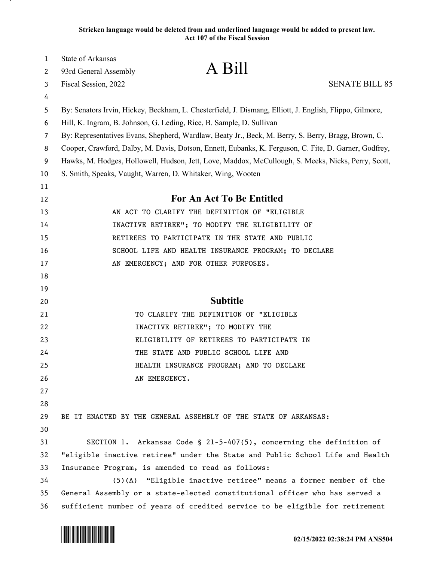**Stricken language would be deleted from and underlined language would be added to present law. Act 107 of the Fiscal Session**

| 1  | State of Arkansas                                                                                       |                                                                              |                       |
|----|---------------------------------------------------------------------------------------------------------|------------------------------------------------------------------------------|-----------------------|
| 2  | 93rd General Assembly                                                                                   | A Bill                                                                       |                       |
| 3  | Fiscal Session, 2022                                                                                    |                                                                              | <b>SENATE BILL 85</b> |
| 4  |                                                                                                         |                                                                              |                       |
| 5  | By: Senators Irvin, Hickey, Beckham, L. Chesterfield, J. Dismang, Elliott, J. English, Flippo, Gilmore, |                                                                              |                       |
| 6  | Hill, K. Ingram, B. Johnson, G. Leding, Rice, B. Sample, D. Sullivan                                    |                                                                              |                       |
| 7  | By: Representatives Evans, Shepherd, Wardlaw, Beaty Jr., Beck, M. Berry, S. Berry, Bragg, Brown, C.     |                                                                              |                       |
| 8  | Cooper, Crawford, Dalby, M. Davis, Dotson, Ennett, Eubanks, K. Ferguson, C. Fite, D. Garner, Godfrey,   |                                                                              |                       |
| 9  | Hawks, M. Hodges, Hollowell, Hudson, Jett, Love, Maddox, McCullough, S. Meeks, Nicks, Perry, Scott,     |                                                                              |                       |
| 10 | S. Smith, Speaks, Vaught, Warren, D. Whitaker, Wing, Wooten                                             |                                                                              |                       |
| 11 |                                                                                                         |                                                                              |                       |
| 12 | For An Act To Be Entitled                                                                               |                                                                              |                       |
| 13 |                                                                                                         | AN ACT TO CLARIFY THE DEFINITION OF "ELIGIBLE                                |                       |
| 14 | INACTIVE RETIREE"; TO MODIFY THE ELIGIBILITY OF                                                         |                                                                              |                       |
| 15 | RETIREES TO PARTICIPATE IN THE STATE AND PUBLIC                                                         |                                                                              |                       |
| 16 |                                                                                                         | SCHOOL LIFE AND HEALTH INSURANCE PROGRAM; TO DECLARE                         |                       |
| 17 |                                                                                                         | AN EMERGENCY; AND FOR OTHER PURPOSES.                                        |                       |
| 18 |                                                                                                         |                                                                              |                       |
| 19 |                                                                                                         |                                                                              |                       |
| 20 | <b>Subtitle</b>                                                                                         |                                                                              |                       |
| 21 |                                                                                                         | TO CLARIFY THE DEFINITION OF "ELIGIBLE                                       |                       |
| 22 |                                                                                                         | INACTIVE RETIREE"; TO MODIFY THE                                             |                       |
| 23 |                                                                                                         | ELIGIBILITY OF RETIREES TO PARTICIPATE IN                                    |                       |
| 24 |                                                                                                         | THE STATE AND PUBLIC SCHOOL LIFE AND                                         |                       |
| 25 |                                                                                                         | HEALTH INSURANCE PROGRAM; AND TO DECLARE                                     |                       |
| 26 | AN EMERGENCY.                                                                                           |                                                                              |                       |
| 27 |                                                                                                         |                                                                              |                       |
| 28 |                                                                                                         |                                                                              |                       |
| 29 |                                                                                                         | BE IT ENACTED BY THE GENERAL ASSEMBLY OF THE STATE OF ARKANSAS:              |                       |
| 30 |                                                                                                         |                                                                              |                       |
| 31 | SECTION 1.                                                                                              | Arkansas Code § 21-5-407(5), concerning the definition of                    |                       |
| 32 | "eligible inactive retiree" under the State and Public School Life and Health                           |                                                                              |                       |
| 33 | Insurance Program, is amended to read as follows:                                                       |                                                                              |                       |
| 34 | (5)(A)                                                                                                  | "Eligible inactive retiree" means a former member of the                     |                       |
| 35 |                                                                                                         | General Assembly or a state-elected constitutional officer who has served a  |                       |
| 36 |                                                                                                         | sufficient number of years of credited service to be eligible for retirement |                       |

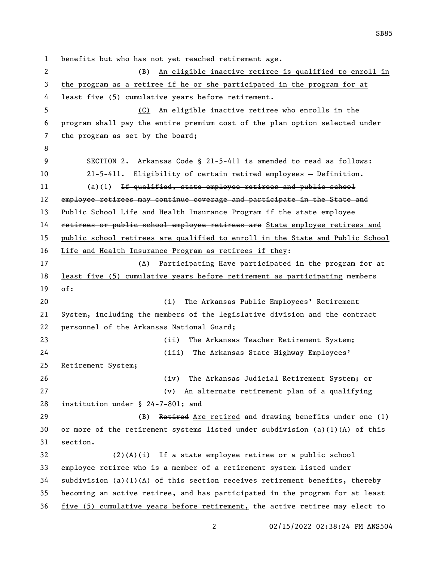benefits but who has not yet reached retirement age. (B) An eligible inactive retiree is qualified to enroll in the program as a retiree if he or she participated in the program for at least five (5) cumulative years before retirement. (C) An eligible inactive retiree who enrolls in the program shall pay the entire premium cost of the plan option selected under the program as set by the board; SECTION 2. Arkansas Code § 21-5-411 is amended to read as follows: 21-5-411. Eligibility of certain retired employees — Definition. 11 (a)(1) If qualified, state employee retirees and public school 12 employee retirees may continue coverage and participate in the State and Public School Life and Health Insurance Program if the state employee 14 retirees or public school employee retirees are State employee retirees and public school retirees are qualified to enroll in the State and Public School Life and Health Insurance Program as retirees if they: 17 (A) Participating Have participated in the program for at least five (5) cumulative years before retirement as participating members of: (i) The Arkansas Public Employees' Retirement System, including the members of the legislative division and the contract personnel of the Arkansas National Guard; (ii) The Arkansas Teacher Retirement System; (iii) The Arkansas State Highway Employees' Retirement System; (iv) The Arkansas Judicial Retirement System; or (v) An alternate retirement plan of a qualifying institution under § 24-7-801; and 29 (B) Retired Are retired and drawing benefits under one (1) or more of the retirement systems listed under subdivision (a)(1)(A) of this section. (2)(A)(i) If a state employee retiree or a public school employee retiree who is a member of a retirement system listed under 34 subdivision (a)(1)(A) of this section receives retirement benefits, thereby becoming an active retiree, and has participated in the program for at least five (5) cumulative years before retirement, the active retiree may elect to

02/15/2022 02:38:24 PM ANS504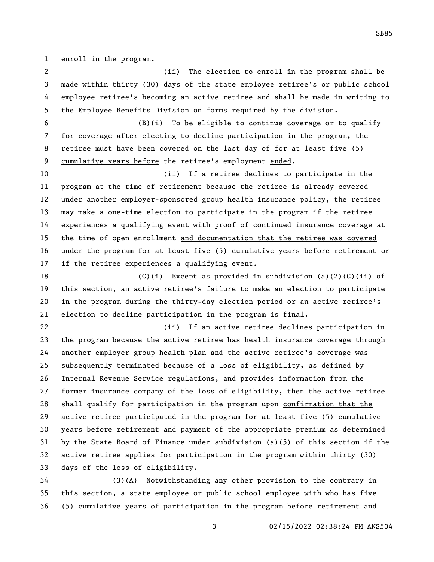enroll in the program.

 (ii) The election to enroll in the program shall be made within thirty (30) days of the state employee retiree's or public school employee retiree's becoming an active retiree and shall be made in writing to the Employee Benefits Division on forms required by the division.

 (B)(i) To be eligible to continue coverage or to qualify for coverage after electing to decline participation in the program, the 8 retiree must have been covered on the last day of for at least five (5) cumulative years before the retiree's employment ended.

 (ii) If a retiree declines to participate in the program at the time of retirement because the retiree is already covered under another employer-sponsored group health insurance policy, the retiree may make a one-time election to participate in the program if the retiree experiences a qualifying event with proof of continued insurance coverage at the time of open enrollment and documentation that the retiree was covered 16 under the program for at least five (5) cumulative years before retirement  $\Theta$ 17 if the retiree experiences a qualifying event.

18 (C)(i) Except as provided in subdivision (a)(2)(C)(ii) of this section, an active retiree's failure to make an election to participate in the program during the thirty-day election period or an active retiree's election to decline participation in the program is final.

 (ii) If an active retiree declines participation in the program because the active retiree has health insurance coverage through another employer group health plan and the active retiree's coverage was subsequently terminated because of a loss of eligibility, as defined by Internal Revenue Service regulations, and provides information from the former insurance company of the loss of eligibility, then the active retiree shall qualify for participation in the program upon confirmation that the active retiree participated in the program for at least five (5) cumulative years before retirement and payment of the appropriate premium as determined by the State Board of Finance under subdivision (a)(5) of this section if the active retiree applies for participation in the program within thirty (30) days of the loss of eligibility.

 (3)(A) Notwithstanding any other provision to the contrary in 35 this section, a state employee or public school employee with who has five (5) cumulative years of participation in the program before retirement and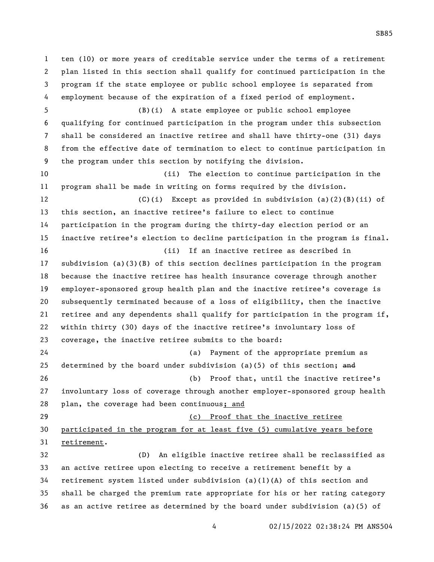ten (10) or more years of creditable service under the terms of a retirement plan listed in this section shall qualify for continued participation in the program if the state employee or public school employee is separated from employment because of the expiration of a fixed period of employment. (B)(i) A state employee or public school employee qualifying for continued participation in the program under this subsection shall be considered an inactive retiree and shall have thirty-one (31) days from the effective date of termination to elect to continue participation in the program under this section by notifying the division. (ii) The election to continue participation in the program shall be made in writing on forms required by the division. (C)(i) Except as provided in subdivision (a)(2)(B)(ii) of this section, an inactive retiree's failure to elect to continue participation in the program during the thirty-day election period or an inactive retiree's election to decline participation in the program is final. (ii) If an inactive retiree as described in subdivision (a)(3)(B) of this section declines participation in the program because the inactive retiree has health insurance coverage through another employer-sponsored group health plan and the inactive retiree's coverage is subsequently terminated because of a loss of eligibility, then the inactive retiree and any dependents shall qualify for participation in the program if, within thirty (30) days of the inactive retiree's involuntary loss of coverage, the inactive retiree submits to the board: (a) Payment of the appropriate premium as 25 determined by the board under subdivision (a)(5) of this section; and (b) Proof that, until the inactive retiree's involuntary loss of coverage through another employer-sponsored group health plan, the coverage had been continuous; and (c) Proof that the inactive retiree participated in the program for at least five (5) cumulative years before retirement. (D) An eligible inactive retiree shall be reclassified as an active retiree upon electing to receive a retirement benefit by a 34 retirement system listed under subdivision (a)(1)(A) of this section and shall be charged the premium rate appropriate for his or her rating category as an active retiree as determined by the board under subdivision (a)(5) of

02/15/2022 02:38:24 PM ANS504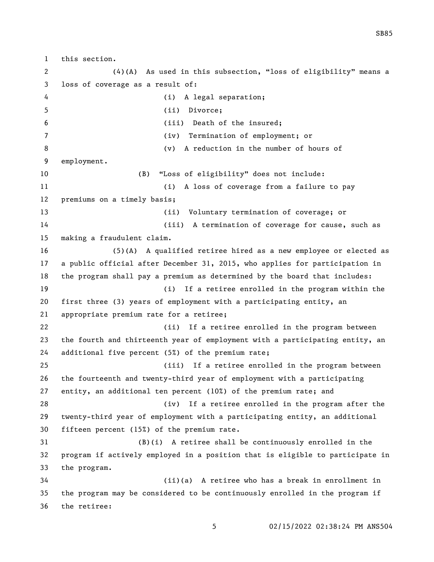this section. (4)(A) As used in this subsection, "loss of eligibility" means a loss of coverage as a result of: (i) A legal separation; (ii) Divorce; (iii) Death of the insured; (iv) Termination of employment; or (v) A reduction in the number of hours of employment. (B) "Loss of eligibility" does not include: (i) A loss of coverage from a failure to pay premiums on a timely basis; (ii) Voluntary termination of coverage; or (iii) A termination of coverage for cause, such as making a fraudulent claim. (5)(A) A qualified retiree hired as a new employee or elected as a public official after December 31, 2015, who applies for participation in the program shall pay a premium as determined by the board that includes: (i) If a retiree enrolled in the program within the first three (3) years of employment with a participating entity, an appropriate premium rate for a retiree; (ii) If a retiree enrolled in the program between the fourth and thirteenth year of employment with a participating entity, an additional five percent (5%) of the premium rate; (iii) If a retiree enrolled in the program between the fourteenth and twenty-third year of employment with a participating entity, an additional ten percent (10%) of the premium rate; and (iv) If a retiree enrolled in the program after the twenty-third year of employment with a participating entity, an additional fifteen percent (15%) of the premium rate. (B)(i) A retiree shall be continuously enrolled in the program if actively employed in a position that is eligible to participate in the program. (ii)(a) A retiree who has a break in enrollment in the program may be considered to be continuously enrolled in the program if the retiree: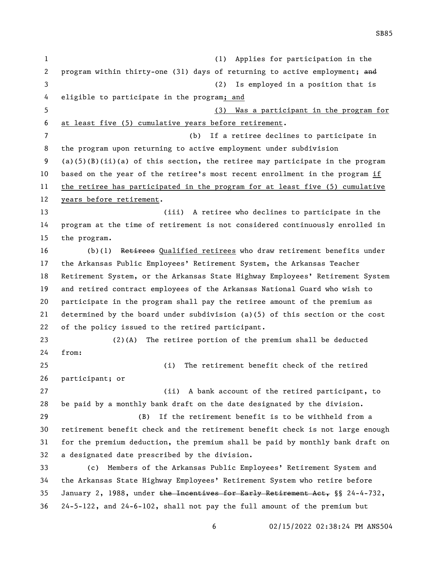(1) Applies for participation in the 2 program within thirty-one (31) days of returning to active employment; and (2) Is employed in a position that is eligible to participate in the program; and (3) Was a participant in the program for at least five (5) cumulative years before retirement. (b) If a retiree declines to participate in the program upon returning to active employment under subdivision (a)(5)(B)(ii)(a) of this section, the retiree may participate in the program based on the year of the retiree's most recent enrollment in the program if the retiree has participated in the program for at least five (5) cumulative years before retirement. (iii) A retiree who declines to participate in the program at the time of retirement is not considered continuously enrolled in the program. (b)(1) Retirees Qualified retirees who draw retirement benefits under the Arkansas Public Employees' Retirement System, the Arkansas Teacher Retirement System, or the Arkansas State Highway Employees' Retirement System and retired contract employees of the Arkansas National Guard who wish to participate in the program shall pay the retiree amount of the premium as determined by the board under subdivision (a)(5) of this section or the cost of the policy issued to the retired participant. (2)(A) The retiree portion of the premium shall be deducted from: (i) The retirement benefit check of the retired participant; or (ii) A bank account of the retired participant, to be paid by a monthly bank draft on the date designated by the division. (B) If the retirement benefit is to be withheld from a retirement benefit check and the retirement benefit check is not large enough for the premium deduction, the premium shall be paid by monthly bank draft on a designated date prescribed by the division. (c) Members of the Arkansas Public Employees' Retirement System and the Arkansas State Highway Employees' Retirement System who retire before January 2, 1988, under the Incentives for Early Retirement Act, §§ 24-4-732, 24-5-122, and 24-6-102, shall not pay the full amount of the premium but

02/15/2022 02:38:24 PM ANS504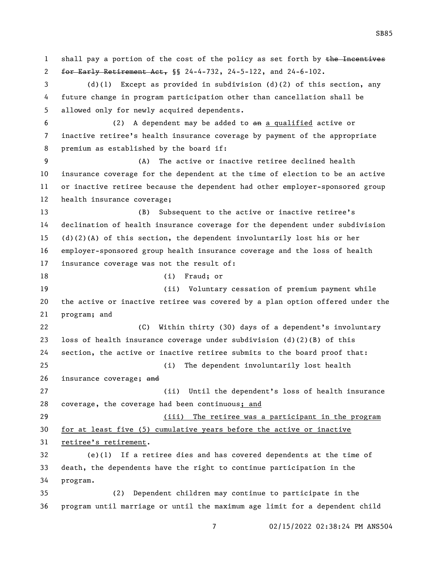1 shall pay a portion of the cost of the policy as set forth by the Incentives for Early Retirement Act, §§ 24-4-732, 24-5-122, and 24-6-102. (d)(1) Except as provided in subdivision (d)(2) of this section, any future change in program participation other than cancellation shall be allowed only for newly acquired dependents. (2) A dependent may be added to an a qualified active or inactive retiree's health insurance coverage by payment of the appropriate premium as established by the board if: (A) The active or inactive retiree declined health insurance coverage for the dependent at the time of election to be an active or inactive retiree because the dependent had other employer-sponsored group health insurance coverage; (B) Subsequent to the active or inactive retiree's declination of health insurance coverage for the dependent under subdivision (d)(2)(A) of this section, the dependent involuntarily lost his or her employer-sponsored group health insurance coverage and the loss of health insurance coverage was not the result of: 18 (i) Fraud; or (ii) Voluntary cessation of premium payment while the active or inactive retiree was covered by a plan option offered under the program; and (C) Within thirty (30) days of a dependent's involuntary 23 loss of health insurance coverage under subdivision  $(d)(2)(B)$  of this section, the active or inactive retiree submits to the board proof that: (i) The dependent involuntarily lost health 26 insurance coverage; and (ii) Until the dependent's loss of health insurance coverage, the coverage had been continuous; and (iii) The retiree was a participant in the program for at least five (5) cumulative years before the active or inactive retiree's retirement. (e)(1) If a retiree dies and has covered dependents at the time of death, the dependents have the right to continue participation in the program. (2) Dependent children may continue to participate in the program until marriage or until the maximum age limit for a dependent child

02/15/2022 02:38:24 PM ANS504